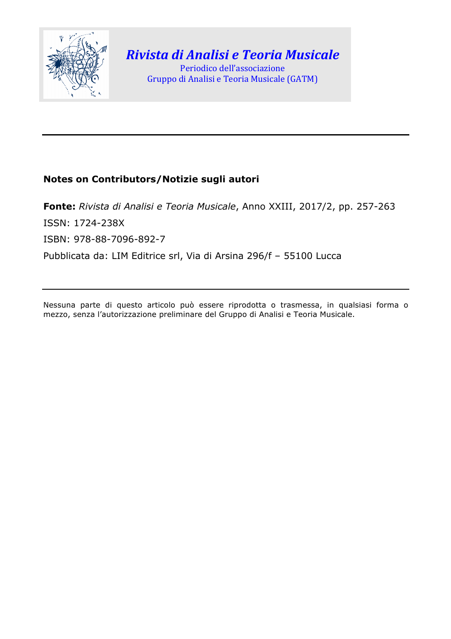

# *Rivista di Analisi e Teoria Musicale* Periodico dell'associazione

Gruppo di Analisi e Teoria Musicale (GATM)

# **Notes on Contributors/Notizie sugli autori**

**Fonte:** *Rivista di Analisi e Teoria Musicale*, Anno XXIII, 2017/2, pp. 257-263 ISSN: 1724-238X ISBN: 978-88-7096-892-7 Pubblicata da: LIM Editrice srl, Via di Arsina 296/f – 55100 Lucca

Nessuna parte di questo articolo può essere riprodotta o trasmessa, in qualsiasi forma o mezzo, senza l'autorizzazione preliminare del Gruppo di Analisi e Teoria Musicale.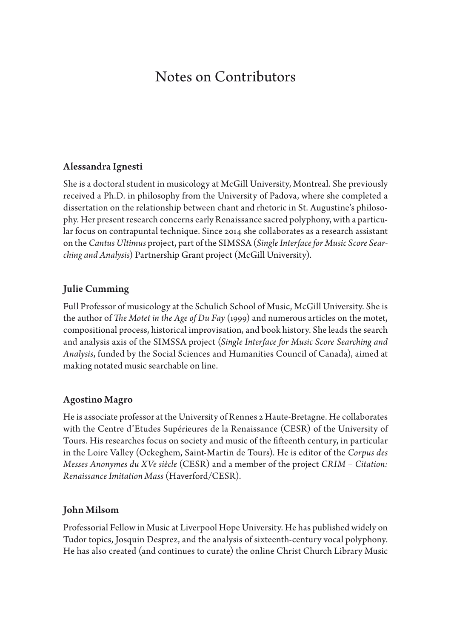# Notes on Contributors

### Alessandra Ignesti

She is a doctoral student in musicology at McGill University, Montreal. She previously received a Ph.D. in philosophy from the University of Padova, where she completed a dissertation on the relationship between chant and rhetoric in St. Augustine's philosophy. Her present research concerns early Renaissance sacred polyphony, with a particular focus on contrapuntal technique. Since 2014 she collaborates as a research assistant on the *Cantus Ultimus* project, part of the SIMSSA (*Single Interface for Music Score Searching and Analysis*) Partnership Grant project (McGill University).

### Julie Cumming

Full Professor of musicology at the Schulich School of Music, McGill University. She is the author of *Te Motet in the Age of Du Fay* (1999) and numerous articles on the motet, compositional process, historical improvisation, and book history. She leads the search and analysis axis of the SIMSSA project (*Single Interface for Music Score Searching and Analysis*, funded by the Social Sciences and Humanities Council of Canada), aimed at making notated music searchable on line.

### Agostino Magro

He is associate professor at the University of Rennes 2 Haute-Bretagne. He collaborates with the Centre d'Etudes Supérieures de la Renaissance (CESR) of the University of Tours. His researches focus on society and music of the fifteenth century, in particular in the Loire Valley (Ockeghem, Saint-Martin de Tours). He is editor of the *Corpus des Messes Anonymes du XVe siècle* (CESR) and a member of the project *CRIM – Citation: Renaissance Imitation Mass* (Haverford/CESR).

### John Milsom

Professorial Fellow in Music at Liverpool Hope University. He has published widely on Tudor topics, Josquin Desprez, and the analysis of sixteenth-century vocal polyphony. He has also created (and continues to curate) the online Christ Church Library Music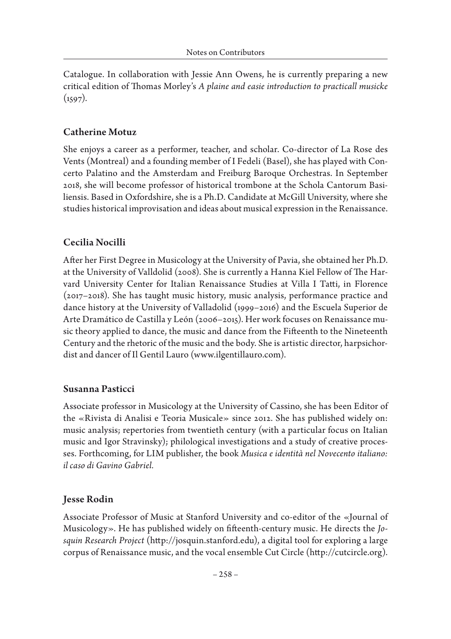Catalogue. In collaboration with Jessie Ann Owens, he is currently preparing a new critical edition of Thomas Morley's *A plaine and easie introduction to practicall musicke*  $(1597)$ .

## Catherine Motuz

She enjoys a career as a performer, teacher, and scholar. Co-director of La Rose des Vents (Montreal) and a founding member of I Fedeli (Basel), she has played with Concerto Palatino and the Amsterdam and Freiburg Baroque Orchestras. In September 2018, she will become professor of historical trombone at the Schola Cantorum Basiliensis. Based in Oxfordshire, she is a Ph.D. Candidate at McGill University, where she studies historical improvisation and ideas about musical expression in the Renaissance.

## Cecilia Nocilli

Afer her First Degree in Musicology at the University of Pavia, she obtained her Ph.D. at the University of Valldolid (2008). She is currently a Hanna Kiel Fellow of The Harvard University Center for Italian Renaissance Studies at Villa I Tati, in Florence (2017–2018). She has taught music history, music analysis, performance practice and dance history at the University of Valladolid (1999–2016) and the Escuela Superior de Arte Dramático de Castilla y León (2006–2015). Her work focuses on Renaissance music theory applied to dance, the music and dance from the Fifeenth to the Nineteenth Century and the rhetoric of the music and the body. She is artistic director, harpsichordist and dancer of Il Gentil Lauro (www.ilgentillauro.com).

### Susanna Pasticci

Associate professor in Musicology at the University of Cassino, she has been Editor of the «Rivista di Analisi e Teoria Musicale» since 2012. She has published widely on: music analysis; repertories from twentieth century (with a particular focus on Italian music and Igor Stravinsky); philological investigations and a study of creative processes. Forthcoming, for LIM publisher, the book *Musica e identità nel Novecento italiano: il caso di Gavino Gabriel.*

### Jesse Rodin

Associate Professor of Music at Stanford University and co-editor of the «Journal of Musicology». He has published widely on ffeenth-century music. He directs the *Josquin Research Project* (htp://josquin.stanford.edu), a digital tool for exploring a large corpus of Renaissance music, and the vocal ensemble Cut Circle (htp://cutcircle.org).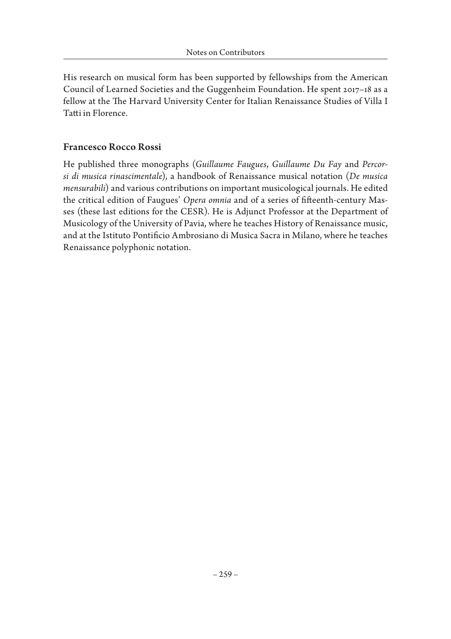His research on musical form has been supported by fellowships from the American Council of Learned Societies and the Guggenheim Foundation. He spent 2017–18 as a fellow at the The Harvard University Center for Italian Renaissance Studies of Villa I Tati in Florence.

### Francesco Rocco Rossi

He published three monographs (*Guillaume Faugues*, *Guillaume Du Fay* and *Percorsi di musica rinascimentale*), a handbook of Renaissance musical notation (*De musica mensurabili*) and various contributions on important musicological journals. He edited the critical edition of Faugues' Opera omnia and of a series of fifteenth-century Masses (these last editions for the CESR). He is Adjunct Professor at the Department of Musicology of the University of Pavia, where he teaches History of Renaissance music, and at the Istituto Pontifcio Ambrosiano di Musica Sacra in Milano, where he teaches Renaissance polyphonic notation.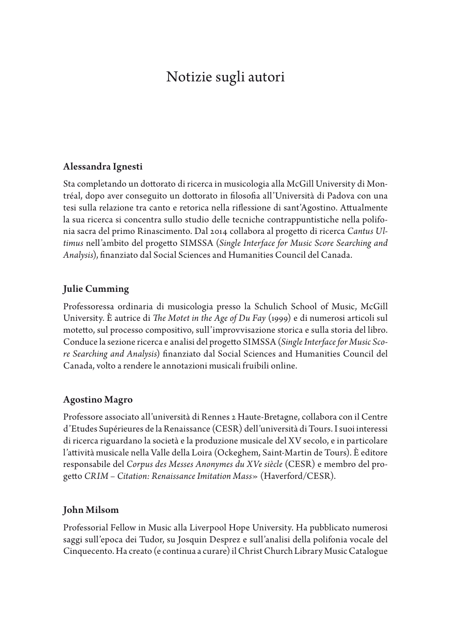# Notizie sugli autori

### Alessandra Ignesti

Sta completando un dottorato di ricerca in musicologia alla McGill University di Montréal, dopo aver conseguito un dotorato in flosofa all'Università di Padova con una tesi sulla relazione tra canto e retorica nella rifessione di sant'Agostino. Atualmente la sua ricerca si concentra sullo studio delle tecniche contrappuntistiche nella polifonia sacra del primo Rinascimento. Dal 2014 collabora al progeto di ricerca *Cantus Ultimus* nell'ambito del progeto SIMSSA (*Single Interface for Music Score Searching and Analysis*), fnanziato dal Social Sciences and Humanities Council del Canada.

### Julie Cumming

Professoressa ordinaria di musicologia presso la Schulich School of Music, McGill University. È autrice di *Te Motet in the Age of Du Fay* (1999) e di numerosi articoli sul moteto, sul processo compositivo, sull'improvvisazione storica e sulla storia del libro. Conduce la sezione ricerca e analisi del progeto SIMSSA (*Single Interface for Music Score Searching and Analysis*) fnanziato dal Social Sciences and Humanities Council del Canada, volto a rendere le annotazioni musicali fruibili online.

### Agostino Magro

Professore associato all'università di Rennes 2 Haute-Bretagne, collabora con il Centre d'Etudes Supérieures de la Renaissance (CESR) dell'università di Tours. I suoi interessi di ricerca riguardano la società e la produzione musicale del XV secolo, e in particolare l'atività musicale nella Valle della Loira (Ockeghem, Saint-Martin de Tours). È editore responsabile del *Corpus des Messes Anonymes du XVe siècle* (CESR) e membro del progeto *CRIM – Citation: Renaissance Imitation Mass*» (Haverford/CESR).

### John Milsom

Professorial Fellow in Music alla Liverpool Hope University. Ha pubblicato numerosi saggi sull'epoca dei Tudor, su Josquin Desprez e sull'analisi della polifonia vocale del Cinquecento. Ha creato (e continua a curare) il Christ Church Library Music Catalogue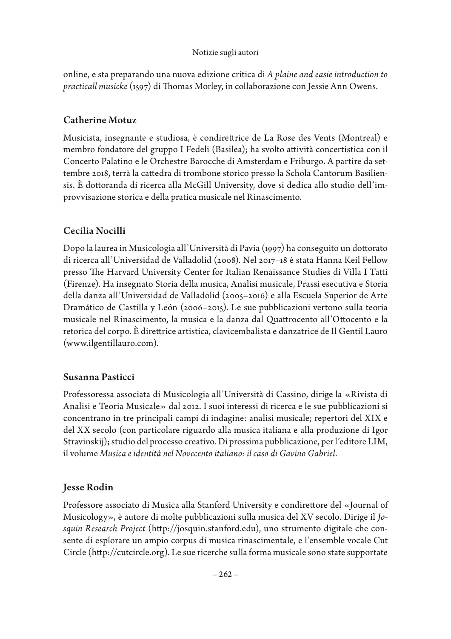online, e sta preparando una nuova edizione critica di *A plaine and easie introduction to practicall musicke* (1597) di Thomas Morley, in collaborazione con Jessie Ann Owens.

## Catherine Motuz

Musicista, insegnante e studiosa, è condiretrice de La Rose des Vents (Montreal) e membro fondatore del gruppo I Fedeli (Basilea); ha svolto atività concertistica con il Concerto Palatino e le Orchestre Barocche di Amsterdam e Friburgo. A partire da settembre 2018, terrà la catedra di trombone storico presso la Schola Cantorum Basiliensis. È dottoranda di ricerca alla McGill University, dove si dedica allo studio dell'improvvisazione storica e della pratica musicale nel Rinascimento.

# Cecilia Nocilli

Dopo la laurea in Musicologia all'Università di Pavia (1997) ha conseguito un dottorato di ricerca all'Universidad de Valladolid (2008). Nel 2017–18 è stata Hanna Keil Fellow presso The Harvard University Center for Italian Renaissance Studies di Villa I Tatti (Firenze). Ha insegnato Storia della musica, Analisi musicale, Prassi esecutiva e Storia della danza all'Universidad de Valladolid (2005–2016) e alla Escuela Superior de Arte Dramático de Castilla y León (2006–2015). Le sue pubblicazioni vertono sulla teoria musicale nel Rinascimento, la musica e la danza dal Quatrocento all'Otocento e la retorica del corpo. È diretrice artistica, clavicembalista e danzatrice de Il Gentil Lauro (www.ilgentillauro.com).

# Susanna Pasticci

Professoressa associata di Musicologia all'Università di Cassino, dirige la «Rivista di Analisi e Teoria Musicale» dal 2012. I suoi interessi di ricerca e le sue pubblicazioni si concentrano in tre principali campi di indagine: analisi musicale; repertori del XIX e del XX secolo (con particolare riguardo alla musica italiana e alla produzione di Igor Stravinskij); studio del processo creativo. Di prossima pubblicazione, per l'editore LIM, il volume *Musica e identità nel Novecento italiano: il caso di Gavino Gabriel*.

# Jesse Rodin

Professore associato di Musica alla Stanford University e condiretore del «Journal of Musicology», è autore di molte pubblicazioni sulla musica del XV secolo. Dirige il *Josquin Research Project* (htp://josquin.stanford.edu), uno strumento digitale che consente di esplorare un ampio corpus di musica rinascimentale, e l'ensemble vocale Cut Circle (htp://cutcircle.org). Le sue ricerche sulla forma musicale sono state supportate